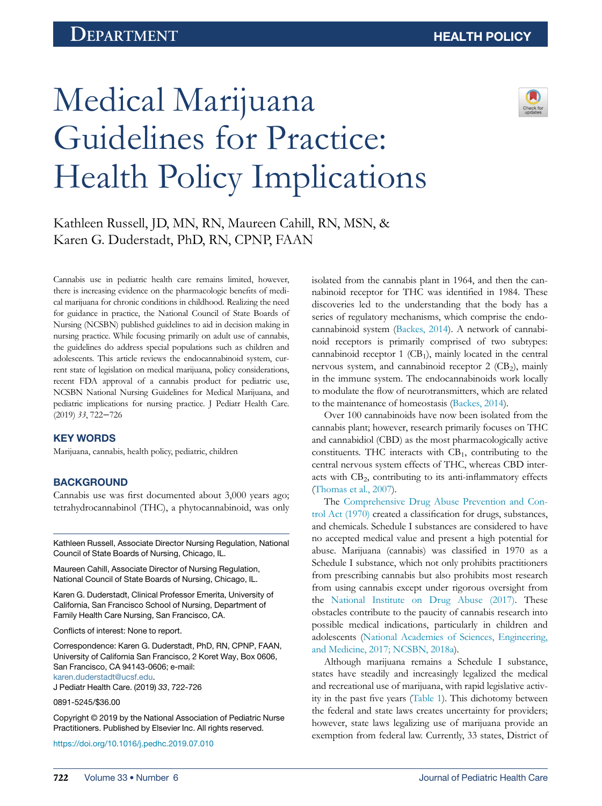# Medical Marijuana Guidelines for Practice: Health Policy Implications



Kathleen Russell, JD, MN, RN, Maureen Cahill, RN, MSN, & Karen G. Duderstadt, PhD, RN, CPNP, FAAN

Cannabis use in pediatric health care remains limited, however, there is increasing evidence on the pharmacologic benefits of medical marijuana for chronic conditions in childhood. Realizing the need for guidance in practice, the National Council of State Boards of Nursing (NCSBN) published guidelines to aid in decision making in nursing practice. While focusing primarily on adult use of cannabis, the guidelines do address special populations such as children and adolescents. This article reviews the endocannabinoid system, current state of legislation on medical marijuana, policy considerations, recent FDA approval of a cannabis product for pediatric use, NCSBN National Nursing Guidelines for Medical Marijuana, and pediatric implications for nursing practice. J Pediatr Health Care. (2019) 33, 722−726

## KEY WORDS

Marijuana, cannabis, health policy, pediatric, children

#### **BACKGROUND**

Cannabis use was first documented about 3,000 years ago; tetrahydrocannabinol (THC), a phytocannabinoid, was only

Kathleen Russell, Associate Director Nursing Regulation, National Council of State Boards of Nursing, Chicago, IL.

Maureen Cahill, Associate Director of Nursing Regulation, National Council of State Boards of Nursing, Chicago, IL.

Karen G. Duderstadt, Clinical Professor Emerita, University of California, San Francisco School of Nursing, Department of Family Health Care Nursing, San Francisco, CA.

Conflicts of interest: None to report.

Correspondence: Karen G. Duderstadt, PhD, RN, CPNP, FAAN, University of California San Francisco, 2 Koret Way, Box 0606, San Francisco, CA 94143-0606; e-mail: [karen.duderstadt@ucsf.edu.](mailto:karen.duderstadt@ucsf.edu)

J Pediatr Health Care. (2019) 33, 722-726

0891-5245/\$36.00

Copyright © 2019 by the National Association of Pediatric Nurse Practitioners. Published by Elsevier Inc. All rights reserved.

<https://doi.org/10.1016/j.pedhc.2019.07.010>

isolated from the cannabis plant in 1964, and then the cannabinoid receptor for THC was identified in 1984. These discoveries led to the understanding that the body has a series of regulatory mechanisms, which comprise the endocannabinoid system ([Backes, 2014](#page-3-0)). A network of cannabinoid receptors is primarily comprised of two subtypes: cannabinoid receptor  $1$  (CB<sub>1</sub>), mainly located in the central nervous system, and cannabinoid receptor  $2$  (CB<sub>2</sub>), mainly in the immune system. The endocannabinoids work locally to modulate the flow of neurotransmitters, which are related to the maintenance of homeostasis ([Backes, 2014](#page-3-0)).

Over 100 cannabinoids have now been isolated from the cannabis plant; however, research primarily focuses on THC and cannabidiol (CBD) as the most pharmacologically active constituents. THC interacts with  $CB<sub>1</sub>$ , contributing to the central nervous system effects of THC, whereas CBD interacts with  $CB_2$ , contributing to its anti-inflammatory effects ([Thomas et al., 2007\)](#page-3-1).

The [Comprehensive Drug Abuse Prevention and Con](#page-3-2)[trol Act \(1970\)](#page-3-2) created a classification for drugs, substances, and chemicals. Schedule I substances are considered to have no accepted medical value and present a high potential for abuse. Marijuana (cannabis) was classified in 1970 as a Schedule I substance, which not only prohibits practitioners from prescribing cannabis but also prohibits most research from using cannabis except under rigorous oversight from the [National Institute on Drug Abuse \(2017\)](#page-3-3). These obstacles contribute to the paucity of cannabis research into possible medical indications, particularly in children and adolescents [\(National Academies of Sciences, Engineering,](#page-3-4) [and Medicine, 2017; NCSBN, 2018a](#page-3-4)).

Although marijuana remains a Schedule I substance, states have steadily and increasingly legalized the medical and recreational use of marijuana, with rapid legislative activity in the past five years ([Table 1](#page-1-0)). This dichotomy between the federal and state laws creates uncertainty for providers; however, state laws legalizing use of marijuana provide an exemption from federal law. Currently, 33 states, District of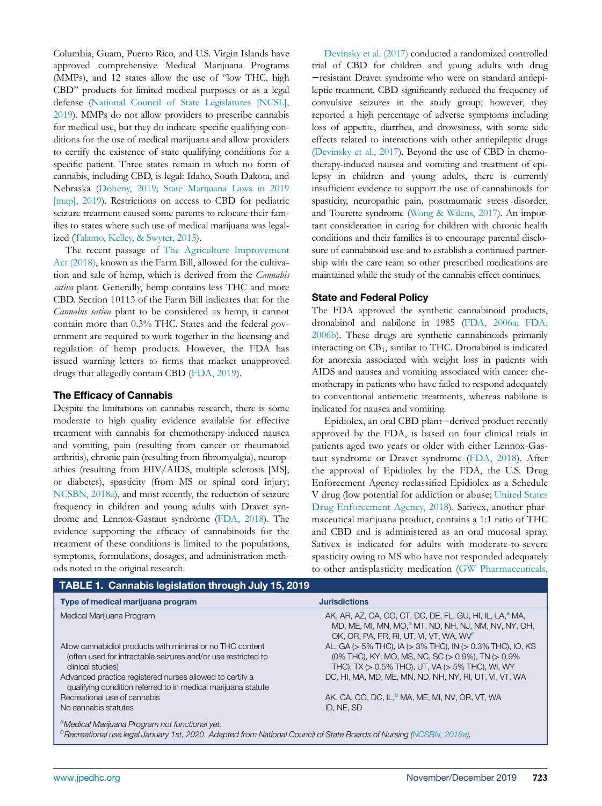Columbia, Guam, Puerto Rico, and U.S. Virgin Islands have approved comprehensive Medical Marijuana Programs (MMPs), and 12 states allow the use of "low THC, high CBD" products for limited medical purposes or as a legal defense ([National Council of State Legislatures \[NCSL\],](#page-3-5) [2019](#page-3-5)). MMPs do not allow providers to prescribe cannabis for medical use, but they do indicate specific qualifying conditions for the use of medical marijuana and allow providers to certify the existence of state qualifying conditions for a specific patient. Three states remain in which no form of cannabis, including CBD, is legal: Idaho, South Dakota, and Nebraska [\(Doheny, 2019; State Marijuana Laws in 2019](#page-3-6) [\[map\], 2019\)](#page-3-6). Restrictions on access to CBD for pediatric seizure treatment caused some parents to relocate their families to states where such use of medical marijuana was legalized [\(Talamo, Kelley, & Swyter, 2015\)](#page-3-7).

The recent passage of [The Agriculture Improvement](#page-3-8) [Act \(2018\),](#page-3-8) known as the Farm Bill, allowed for the cultivation and sale of hemp, which is derived from the Cannabis sativa plant. Generally, hemp contains less THC and more CBD. Section 10113 of the Farm Bill indicates that for the Cannabis sativa plant to be considered as hemp, it cannot contain more than 0.3% THC. States and the federal government are required to work together in the licensing and regulation of hemp products. However, the FDA has issued warning letters to firms that market unapproved drugs that allegedly contain CBD ([FDA, 2019\)](#page-4-0).

# The Efficacy of Cannabis

Despite the limitations on cannabis research, there is some moderate to high quality evidence available for effective treatment with cannabis for chemotherapy-induced nausea and vomiting, pain (resulting from cancer or rheumatoid arthritis), chronic pain (resulting from fibromyalgia), neuropathies (resulting from HIV/AIDS, multiple sclerosis [MS], or diabetes), spasticity (from MS or spinal cord injury; [NCSBN, 2018a](#page-3-9)), and most recently, the reduction of seizure frequency in children and young adults with Dravet syndrome and Lennox-Gastaut syndrome [\(FDA, 2018](#page-4-1)). The evidence supporting the efficacy of cannabinoids for the treatment of these conditions is limited to the populations, symptoms, formulations, dosages, and administration methods noted in the original research.

[Devinsky et al. \(2017\)](#page-3-10) conducted a randomized controlled trial of CBD for children and young adults with drug −resistant Dravet syndrome who were on standard antiepileptic treatment. CBD significantly reduced the frequency of convulsive seizures in the study group; however, they reported a high percentage of adverse symptoms including loss of appetite, diarrhea, and drowsiness, with some side effects related to interactions with other antiepileptic drugs ([Devinsky et al., 2017](#page-3-10)). Beyond the use of CBD in chemotherapy-induced nausea and vomiting and treatment of epilepsy in children and young adults, there is currently insufficient evidence to support the use of cannabinoids for spasticity, neuropathic pain, posttraumatic stress disorder, and Tourette syndrome ([Wong & Wilens, 2017](#page-4-2)). An important consideration in caring for children with chronic health conditions and their families is to encourage parental disclosure of cannabinoid use and to establish a continued partnership with the care team so other prescribed medications are maintained while the study of the cannabis effect continues.

# State and Federal Policy

The FDA approved the synthetic cannabinoid products, dronabinol and nabilone in 1985 [\(FDA, 2006a; FDA,](#page-4-3) [2006b\)](#page-4-3). These drugs are synthetic cannabinoids primarily interacting on CB<sub>1</sub>, similar to THC. Dronabinol is indicated for anorexia associated with weight loss in patients with AIDS and nausea and vomiting associated with cancer chemotherapy in patients who have failed to respond adequately to conventional antiemetic treatments, whereas nabilone is indicated for nausea and vomiting.

Epidiolex, an oral CBD plant−derived product recently approved by the FDA, is based on four clinical trials in patients aged two years or older with either Lennox-Gastaut syndrome or Dravet syndrome [\(FDA, 2018](#page-4-1)). After the approval of Epidiolex by the FDA, the U.S. Drug Enforcement Agency reclassified Epidiolex as a Schedule V drug (low potential for addiction or abuse; [United States](#page-4-4) [Drug Enforcement Agency, 2018](#page-4-4)). Sativex, another pharmaceutical marijuana product, contains a 1:1 ratio of THC and CBD and is administered as an oral mucosal spray. Sativex is indicated for adults with moderate-to-severe spasticity owing to MS who have not responded adequately to other antisplasticity medication ([GW Pharmaceuticals,](#page-3-11)

<span id="page-1-2"></span><span id="page-1-1"></span><span id="page-1-0"></span>

| <b>TABLE 1. Cannabis legislation through July 15, 2019</b>                                                                                                                                    |                                                                                                                                                                                                 |
|-----------------------------------------------------------------------------------------------------------------------------------------------------------------------------------------------|-------------------------------------------------------------------------------------------------------------------------------------------------------------------------------------------------|
| Type of medical marijuana program                                                                                                                                                             | <b>Jurisdictions</b>                                                                                                                                                                            |
| Medical Marijuana Program                                                                                                                                                                     | AK, AR, AZ, CA, CO, CT, DC, DE, FL, GU, HI, IL, LA, <sup>a</sup> MA,<br>MD, ME, MI, MN, MO, <sup>a</sup> MT, ND, NH, NJ, NM, NV, NY, OH,<br>OK, OR, PA, PR, RI, UT, VI, VT, WA, WV <sup>a</sup> |
| Allow cannabidiol products with minimal or no THC content<br>(often used for intractable seizures and/or use restricted to<br>clinical studies)                                               | AL, GA (> 5% THC), IA (> 3% THC), IN (> 0.3% THC), IO, KS<br>$(0\%$ THC), KY, MO, MS, NC, SC $(> 0.9\%)$ , TN $(> 0.9\%)$<br>THC), TX ( $> 0.5\%$ THC), UT, VA ( $> 5\%$ THC), WI, WY           |
| Advanced practice registered nurses allowed to certify a<br>qualifying condition referred to in medical marijuana statute                                                                     | DC, HI, MA, MD, ME, MN, ND, NH, NY, RI, UT, VI, VT, WA                                                                                                                                          |
| Recreational use of cannabis                                                                                                                                                                  | AK, CA, CO, DC, IL, MA, ME, MI, NV, OR, VT, WA                                                                                                                                                  |
| No cannabis statutes                                                                                                                                                                          | ID. NE. SD                                                                                                                                                                                      |
| <sup>a</sup> Medical Marijuana Program not functional yet.<br><sup>b</sup> Recreational use legal January 1st, 2020. Adapted from National Council of State Boards of Nursing (NCSBN, 2018a). |                                                                                                                                                                                                 |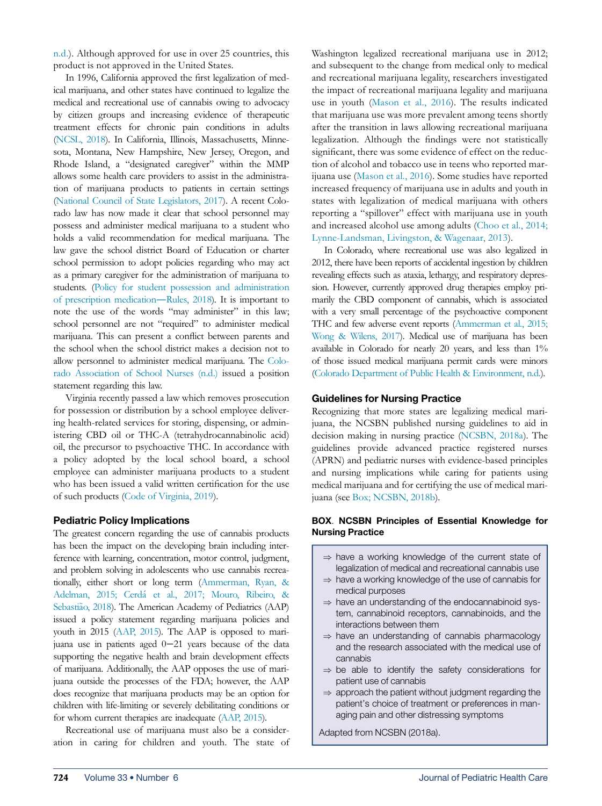[n.d.\)](#page-3-11). Although approved for use in over 25 countries, this product is not approved in the United States.

In 1996, California approved the first legalization of medical marijuana, and other states have continued to legalize the medical and recreational use of cannabis owing to advocacy by citizen groups and increasing evidence of therapeutic treatment effects for chronic pain conditions in adults [\(NCSL, 2018](#page-3-12)). In California, Illinois, Massachusetts, Minnesota, Montana, New Hampshire, New Jersey, Oregon, and Rhode Island, a "designated caregiver" within the MMP allows some health care providers to assist in the administration of marijuana products to patients in certain settings [\(National Council of State Legislators, 2017](#page-3-13)). A recent Colorado law has now made it clear that school personnel may possess and administer medical marijuana to a student who holds a valid recommendation for medical marijuana. The law gave the school district Board of Education or charter school permission to adopt policies regarding who may act as a primary caregiver for the administration of marijuana to students. ([Policy for student possession and administration](#page-3-14) [of prescription medication](#page-3-14)—Rules, 2018). It is important to note the use of the words "may administer" in this law; school personnel are not "required" to administer medical marijuana. This can present a conflict between parents and the school when the school district makes a decision not to allow personnel to administer medical marijuana. The [Colo](#page-3-15)[rado Association of School Nurses \(n.d.\)](#page-3-15) issued a position statement regarding this law.

Virginia recently passed a law which removes prosecution for possession or distribution by a school employee delivering health-related services for storing, dispensing, or administering CBD oil or THC-A (tetrahydrocannabinolic acid) oil, the precursor to psychoactive THC. In accordance with a policy adopted by the local school board, a school employee can administer marijuana products to a student who has been issued a valid written certification for the use of such products ([Code of Virginia, 2019](#page-3-16)).

#### Pediatric Policy Implications

The greatest concern regarding the use of cannabis products has been the impact on the developing brain including interference with learning, concentration, motor control, judgment, and problem solving in adolescents who use cannabis recreationally, either short or long term [\(Ammerman, Ryan, &](#page-3-17) [Adelman, 2015; Cerd](#page-3-17)[a et al., 2017; Mouro, Ribeiro, &](#page-3-17) [Sebasti](#page-3-17)ã[o, 2018](#page-3-17)). The American Academy of Pediatrics (AAP) issued a policy statement regarding marijuana policies and youth in 2015 ([AAP, 2015\)](#page-3-18). The AAP is opposed to marijuana use in patients aged 0−21 years because of the data supporting the negative health and brain development effects of marijuana. Additionally, the AAP opposes the use of marijuana outside the processes of the FDA; however, the AAP does recognize that marijuana products may be an option for children with life-limiting or severely debilitating conditions or for whom current therapies are inadequate ([AAP, 2015\)](#page-3-18).

Recreational use of marijuana must also be a consideration in caring for children and youth. The state of

Washington legalized recreational marijuana use in 2012; and subsequent to the change from medical only to medical and recreational marijuana legality, researchers investigated the impact of recreational marijuana legality and marijuana use in youth [\(Mason et al., 2016](#page-3-19)). The results indicated that marijuana use was more prevalent among teens shortly after the transition in laws allowing recreational marijuana legalization. Although the findings were not statistically significant, there was some evidence of effect on the reduction of alcohol and tobacco use in teens who reported marijuana use ([Mason et al., 2016](#page-3-19)). Some studies have reported increased frequency of marijuana use in adults and youth in states with legalization of medical marijuana with others reporting a "spillover" effect with marijuana use in youth and increased alcohol use among adults [\(Choo et al., 2014;](#page-3-20) [Lynne-Landsman, Livingston, & Wagenaar, 2013\)](#page-3-20).

In Colorado, where recreational use was also legalized in 2012, there have been reports of accidental ingestion by children revealing effects such as ataxia, lethargy, and respiratory depression. However, currently approved drug therapies employ primarily the CBD component of cannabis, which is associated with a very small percentage of the psychoactive component THC and few adverse event reports [\(Ammerman et al., 2015;](#page-3-17) [Wong & Wilens, 2017\)](#page-3-17). Medical use of marijuana has been available in Colorado for nearly 20 years, and less than 1% of those issued medical marijuana permit cards were minors ([Colorado Department of Public Health & Environment, n.d.](#page-3-21)).

#### Guidelines for Nursing Practice

Recognizing that more states are legalizing medical marijuana, the NCSBN published nursing guidelines to aid in decision making in nursing practice [\(NCSBN, 2018a\)](#page-3-9). The guidelines provide advanced practice registered nurses (APRN) and pediatric nurses with evidence-based principles and nursing implications while caring for patients using medical marijuana and for certifying the use of medical marijuana (see [Box; NCSBN, 2018b\)](#page-3-22).

#### BOX. NCSBN Principles of Essential Knowledge for Nursing Practice

- $\Rightarrow$  have a working knowledge of the current state of legalization of medical and recreational cannabis use
- $\Rightarrow$  have a working knowledge of the use of cannabis for medical purposes
- $\Rightarrow$  have an understanding of the endocannabinoid system, cannabinoid receptors, cannabinoids, and the interactions between them
- $\Rightarrow$  have an understanding of cannabis pharmacology and the research associated with the medical use of cannabis
- $\Rightarrow$  be able to identify the safety considerations for patient use of cannabis
- $\Rightarrow$  approach the patient without judgment regarding the patient's choice of treatment or preferences in managing pain and other distressing symptoms

Adapted from NCSBN (2018a).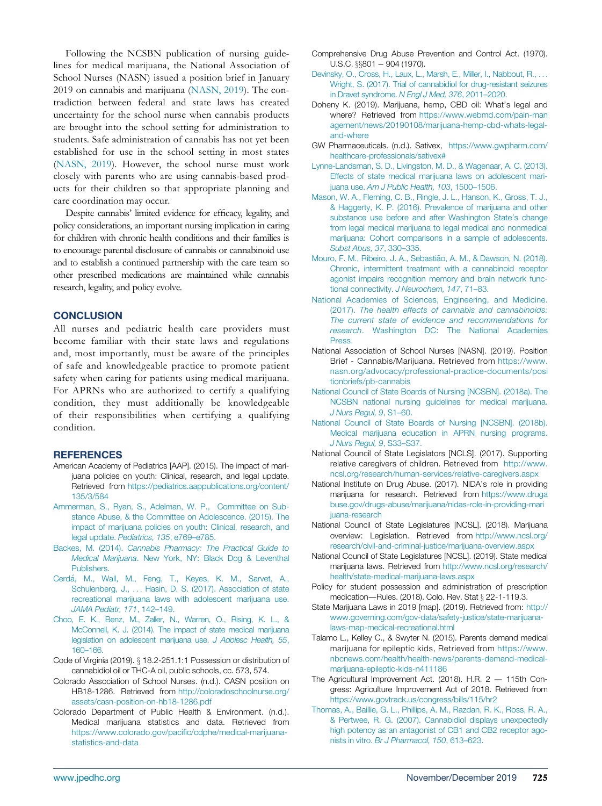<span id="page-3-10"></span><span id="page-3-6"></span><span id="page-3-2"></span>Following the NCSBN publication of nursing guidelines for medical marijuana, the National Association of School Nurses (NASN) issued a position brief in January 2019 on cannabis and marijuana ([NASN, 2019\)](#page-3-23). The contradiction between federal and state laws has created uncertainty for the school nurse when cannabis products are brought into the school setting for administration to students. Safe administration of cannabis has not yet been established for use in the school setting in most states ([NASN, 2019](#page-3-23)). However, the school nurse must work closely with parents who are using cannabis-based products for their children so that appropriate planning and care coordination may occur.

<span id="page-3-19"></span><span id="page-3-11"></span>Despite cannabis' limited evidence for efficacy, legality, and policy considerations, an important nursing implication in caring for children with chronic health conditions and their families is to encourage parental disclosure of cannabis or cannabinoid use and to establish a continued partnership with the care team so other prescribed medications are maintained while cannabis research, legality, and policy evolve.

## <span id="page-3-4"></span>**CONCLUSION**

<span id="page-3-23"></span><span id="page-3-9"></span>All nurses and pediatric health care providers must become familiar with their state laws and regulations and, most importantly, must be aware of the principles of safe and knowledgeable practice to promote patient safety when caring for patients using medical marijuana. For APRNs who are authorized to certify a qualifying condition, they must additionally be knowledgeable of their responsibilities when certifying a qualifying condition.

## <span id="page-3-22"></span><span id="page-3-13"></span>**REFERENCES**

- <span id="page-3-18"></span><span id="page-3-3"></span>American Academy of Pediatrics [AAP]. (2015). The impact of marijuana policies on youth: Clinical, research, and legal update. Retrieved from [https://pediatrics.aappublications.org/content/](https://pediatrics.aappublications.org/content/135/3/584) [135/3/584](https://pediatrics.aappublications.org/content/135/3/584)
- <span id="page-3-17"></span><span id="page-3-12"></span>[Ammerman, S., Ryan, S., Adelman, W. P., Committee on Sub](http://refhub.elsevier.com/S0891-5245(19)30399-2/sbref0001)[stance Abuse, & the Committee on Adolescence. \(2015\). The](http://refhub.elsevier.com/S0891-5245(19)30399-2/sbref0001) [impact of marijuana policies on youth: Clinical, research, and](http://refhub.elsevier.com/S0891-5245(19)30399-2/sbref0001) legal update. [Pediatrics, 135](http://refhub.elsevier.com/S0891-5245(19)30399-2/sbref0001), e769–e785.
- <span id="page-3-5"></span><span id="page-3-0"></span>Backes, M. (2014). [Cannabis Pharmacy: The Practical Guide to](http://refhub.elsevier.com/S0891-5245(19)30399-2/sbref0002) Medical Marijuana[. New York, NY: Black Dog & Leventhal](http://refhub.elsevier.com/S0891-5245(19)30399-2/sbref0002) [Publishers.](http://refhub.elsevier.com/S0891-5245(19)30399-2/sbref0002)
- <span id="page-3-14"></span>[Cerd](http://refhub.elsevier.com/S0891-5245(19)30399-2/sbref0003)a[, M., Wall, M., Feng, T., Keyes, K. M., Sarvet, A.,](http://refhub.elsevier.com/S0891-5245(19)30399-2/sbref0003) [Schulenberg, J.,](http://refhub.elsevier.com/S0891-5245(19)30399-2/sbref0003) ... [Hasin, D. S. \(2017\). Association of state](http://refhub.elsevier.com/S0891-5245(19)30399-2/sbref0003) [recreational marijuana laws with adolescent marijuana use.](http://refhub.elsevier.com/S0891-5245(19)30399-2/sbref0003) [JAMA Pediatr, 171](http://refhub.elsevier.com/S0891-5245(19)30399-2/sbref0003), 142–149.
- <span id="page-3-20"></span><span id="page-3-7"></span>[Choo, E. K., Benz, M., Zaller, N., Warren, O., Rising, K. L., &](http://refhub.elsevier.com/S0891-5245(19)30399-2/sbref0004) [McConnell, K. J. \(2014\). The impact of state medical marijuana](http://refhub.elsevier.com/S0891-5245(19)30399-2/sbref0004) [legislation on adolescent marijuana use.](http://refhub.elsevier.com/S0891-5245(19)30399-2/sbref0004) J Adolesc Health, 55, 160–[166.](http://refhub.elsevier.com/S0891-5245(19)30399-2/sbref0004)
- <span id="page-3-16"></span>Code of Virginia (2019). § 18.2-251.1:1 Possession or distribution of cannabidiol oil or THC-A oil, public schools, cc. 573, 574.
- <span id="page-3-15"></span><span id="page-3-8"></span>Colorado Association of School Nurses. (n.d.). CASN position on HB18-1286. Retrieved from [http://coloradoschoolnurse.org/](http://coloradoschoolnurse.org/assets/casn-position-on-hb18-1286.pdf) [assets/casn-position-on-hb18-1286.pdf](http://coloradoschoolnurse.org/assets/casn-position-on-hb18-1286.pdf)
- <span id="page-3-21"></span><span id="page-3-1"></span>Colorado Department of Public Health & Environment. (n.d.). Medical marijuana statistics and data. Retrieved from [https://www.colorado.gov/paci](https://www.colorado.gov/pacific/cdphe/medical-marijuana-statistics-and-data)fic/cdphe/medical-marijuana[statistics-and-data](https://www.colorado.gov/pacific/cdphe/medical-marijuana-statistics-and-data)
- Comprehensive Drug Abuse Prevention and Control Act. (1970).  $U.S.C.$   $\S801 - 904$  (1970).
- [Devinsky, O., Cross, H., Laux, L., Marsh, E., Miller, I., Nabbout, R.,](http://refhub.elsevier.com/S0891-5245(19)30399-2/sbref0005) ... [Wright, S. \(2017\). Trial of cannabidiol for drug-resistant seizures](http://refhub.elsevier.com/S0891-5245(19)30399-2/sbref0005) [in Dravet syndrome.](http://refhub.elsevier.com/S0891-5245(19)30399-2/sbref0005) N Engl J Med, 376, 2011–2020.
- Doheny K. (2019). Marijuana, hemp, CBD oil: What's legal and where? Retrieved from [https://www.webmd.com/pain-man](https://www.webmd.com/pain-management/news/20190108/marijuana-hemp-cbd-whats-legal-and-where) [agement/news/20190108/marijuana-hemp-cbd-whats-legal](https://www.webmd.com/pain-management/news/20190108/marijuana-hemp-cbd-whats-legal-and-where)[and-where](https://www.webmd.com/pain-management/news/20190108/marijuana-hemp-cbd-whats-legal-and-where)
- GW Pharmaceuticals. (n.d.). Sativex, [https://www.gwpharm.com/](https://www.gwpharm.com/healthcare-professionals/sativex#) [healthcare-professionals/sativex#](https://www.gwpharm.com/healthcare-professionals/sativex#)
- [Lynne-Landsman, S. D., Livingston, M. D., & Wagenaar, A. C. \(2013\).](http://refhub.elsevier.com/S0891-5245(19)30399-2/sbref0006) [Effects of state medical marijuana laws on adolescent mari](http://refhub.elsevier.com/S0891-5245(19)30399-2/sbref0006)juana use. [Am J Public Health, 103](http://refhub.elsevier.com/S0891-5245(19)30399-2/sbref0006), 1500–1506.
- [Mason, W. A., Fleming, C. B., Ringle, J. L., Hanson, K., Gross, T. J.,](http://refhub.elsevier.com/S0891-5245(19)30399-2/sbref0007) [& Haggerty, K. P. \(2016\). Prevalence of marijuana and other](http://refhub.elsevier.com/S0891-5245(19)30399-2/sbref0007) [substance use before and after Washington State](http://refhub.elsevier.com/S0891-5245(19)30399-2/sbref0007)'s change [from legal medical marijuana to legal medical and nonmedical](http://refhub.elsevier.com/S0891-5245(19)30399-2/sbref0007) [marijuana: Cohort comparisons in a sample of adolescents.](http://refhub.elsevier.com/S0891-5245(19)30399-2/sbref0007) [Subst Abus, 37](http://refhub.elsevier.com/S0891-5245(19)30399-2/sbref0007), 330–335.
- Mouro, F. M., Ribeiro, J. A., Sebastião, A. M., & Dawson, N. (2018). [Chronic, intermittent treatment with a cannabinoid receptor](http://refhub.elsevier.com/S0891-5245(19)30399-2/sbref0008) [agonist impairs recognition memory and brain network func](http://refhub.elsevier.com/S0891-5245(19)30399-2/sbref0008)tional connectivity. [J Neurochem, 147](http://refhub.elsevier.com/S0891-5245(19)30399-2/sbref0008), 71–83.
- [National Academies of Sciences, Engineering, and Medicine.](http://refhub.elsevier.com/S0891-5245(19)30399-2/sbref0009) (2017). [The health effects of cannabis and cannabinoids:](http://refhub.elsevier.com/S0891-5245(19)30399-2/sbref0009) [The current state of evidence and recommendations for](http://refhub.elsevier.com/S0891-5245(19)30399-2/sbref0009) research[. Washington DC: The National Academies](http://refhub.elsevier.com/S0891-5245(19)30399-2/sbref0009) [Press.](http://refhub.elsevier.com/S0891-5245(19)30399-2/sbref0009)
- National Association of School Nurses [NASN]. (2019). Position Brief - Cannabis/Marijuana. Retrieved from [https://www.](https://www.nasn.org/advocacy/professional-practice-documents/positionbriefs/pb-cannabis) [nasn.org/advocacy/professional-practice-documents/posi](https://www.nasn.org/advocacy/professional-practice-documents/positionbriefs/pb-cannabis) [tionbriefs/pb-cannabis](https://www.nasn.org/advocacy/professional-practice-documents/positionbriefs/pb-cannabis)
- [National Council of State Boards of Nursing \[NCSBN\]. \(2018a\). The](http://refhub.elsevier.com/S0891-5245(19)30399-2/sbref0010) [NCSBN national nursing guidelines for medical marijuana.](http://refhub.elsevier.com/S0891-5245(19)30399-2/sbref0010) [J Nurs Regul, 9](http://refhub.elsevier.com/S0891-5245(19)30399-2/sbref0010), S1–60.
- [National Council of State Boards of Nursing \[NCSBN\]. \(2018b\).](http://refhub.elsevier.com/S0891-5245(19)30399-2/sbref0011) [Medical marijuana education in APRN nursing programs.](http://refhub.elsevier.com/S0891-5245(19)30399-2/sbref0011) [J Nurs Regul, 9](http://refhub.elsevier.com/S0891-5245(19)30399-2/sbref0011), S33–S37.
- National Council of State Legislators [NCLS]. (2017). Supporting relative caregivers of children. Retrieved from [http://www.](http://www.ncsl.org/research/human-services/relative-caregivers.aspx) [ncsl.org/research/human-services/relative-caregivers.aspx](http://www.ncsl.org/research/human-services/relative-caregivers.aspx)
- National Institute on Drug Abuse. (2017). NIDA's role in providing marijuana for research. Retrieved from [https://www.druga](https://www.drugabuse.gov/drugs-abuse/marijuana/nidas-role-in-providing-marijuana-research) [buse.gov/drugs-abuse/marijuana/nidas-role-in-providing-mari](https://www.drugabuse.gov/drugs-abuse/marijuana/nidas-role-in-providing-marijuana-research) [juana-research](https://www.drugabuse.gov/drugs-abuse/marijuana/nidas-role-in-providing-marijuana-research)
- National Council of State Legislatures [NCSL]. (2018). Marijuana overview: Legislation. Retrieved from [http://www.ncsl.org/](http://www.ncsl.org/research/civil-and-criminal-justice/marijuana-overview.aspx) [research/civil-and-criminal-justice/marijuana-overview.aspx](http://www.ncsl.org/research/civil-and-criminal-justice/marijuana-overview.aspx)
- National Council of State Legislatures [NCSL]. (2019). State medical marijuana laws. Retrieved from [http://www.ncsl.org/research/](http://www.ncsl.org/research/health/state-medical-marijuana-laws.aspx) [health/state-medical-marijuana-laws.aspx](http://www.ncsl.org/research/health/state-medical-marijuana-laws.aspx)
- Policy for student possession and administration of prescription medication—Rules. (2018). Colo. Rev. Stat § 22-1-119.3.
- State Marijuana Laws in 2019 [map]. (2019). Retrieved from: [http://](http://www.governing.com/gov-data/safety-justice/state-marijuana-laws-map-medical-recreational.html) [www.governing.com/gov-data/safety-justice/state-marijuana](http://www.governing.com/gov-data/safety-justice/state-marijuana-laws-map-medical-recreational.html)[laws-map-medical-recreational.html](http://www.governing.com/gov-data/safety-justice/state-marijuana-laws-map-medical-recreational.html)
- Talamo L., Kelley C., & Swyter N. (2015). Parents demand medical marijuana for epileptic kids, Retrieved from [https://www.](https://www.nbcnews.com/health/health-news/parents-demand-medical-marijuana-epileptic-kids-n411186) [nbcnews.com/health/health-news/parents-demand-medical](https://www.nbcnews.com/health/health-news/parents-demand-medical-marijuana-epileptic-kids-n411186)[marijuana-epileptic-kids-n411186](https://www.nbcnews.com/health/health-news/parents-demand-medical-marijuana-epileptic-kids-n411186)
- The Agricultural Improvement Act. (2018). H.R. 2 115th Congress: Agriculture Improvement Act of 2018. Retrieved from <https://www.govtrack.us/congress/bills/115/hr2>
- [Thomas, A., Baillie, G. L., Phillips, A. M., Razdan, R. K., Ross, R. A.,](http://refhub.elsevier.com/S0891-5245(19)30399-2/sbref0012) [& Pertwee, R. G. \(2007\). Cannabidiol displays unexpectedly](http://refhub.elsevier.com/S0891-5245(19)30399-2/sbref0012) [high potency as an antagonist of CB1 and CB2 receptor ago](http://refhub.elsevier.com/S0891-5245(19)30399-2/sbref0012)nists in vitro. [Br J Pharmacol, 150](http://refhub.elsevier.com/S0891-5245(19)30399-2/sbref0012), 613–623.